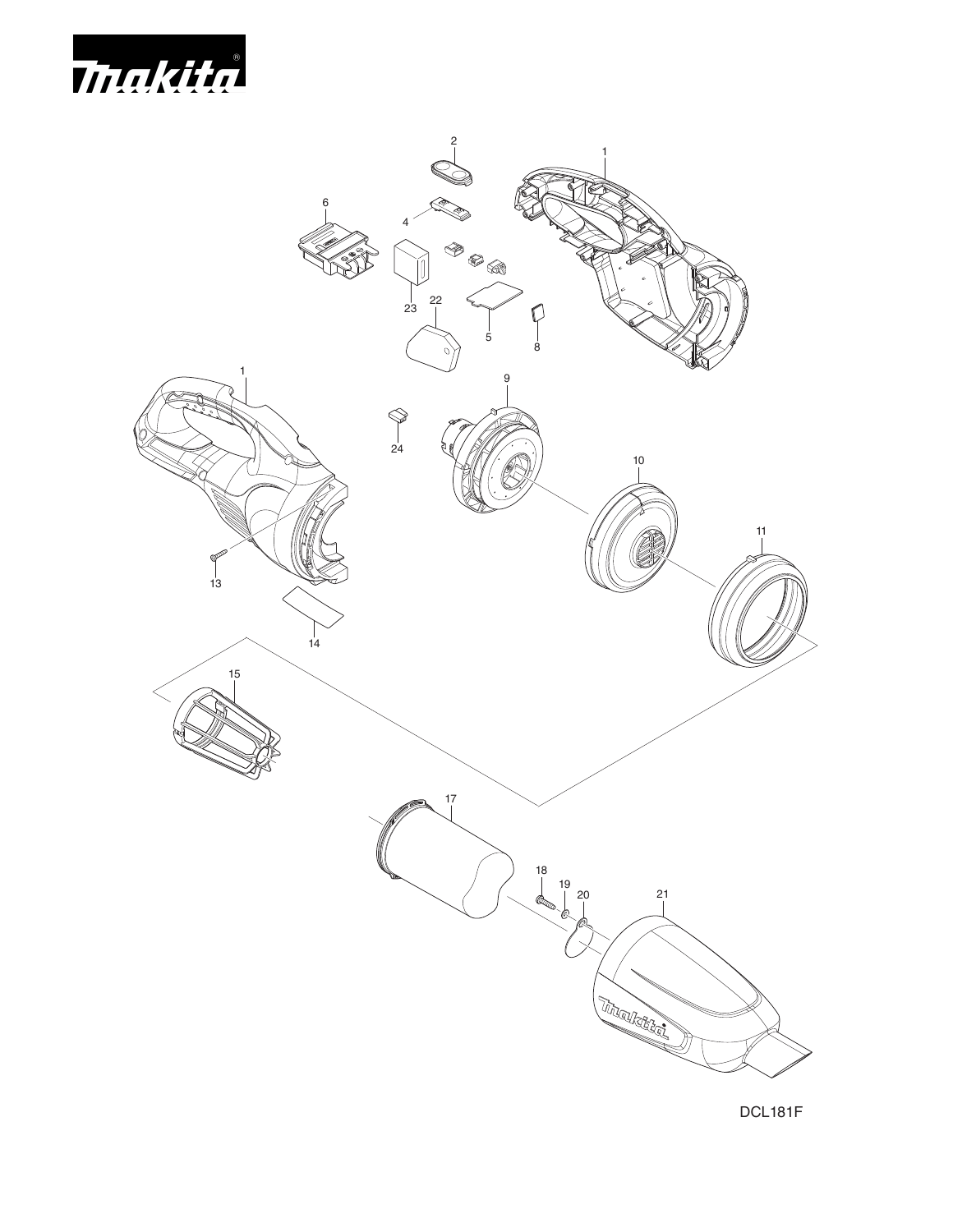



DCL181F